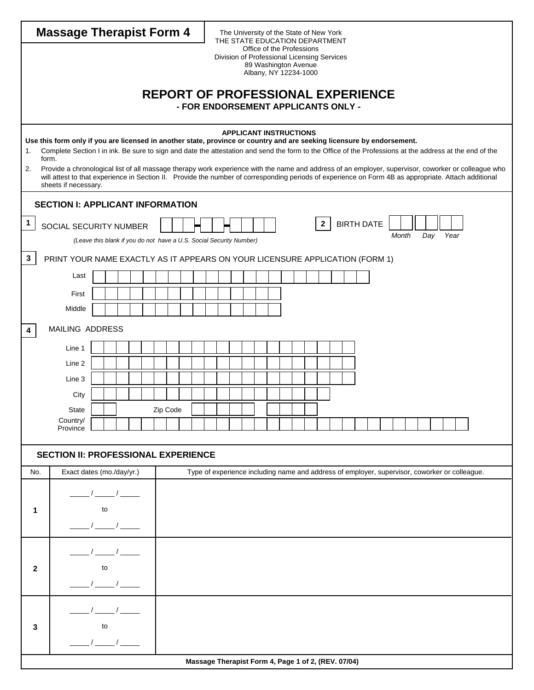| <b>Massage Therapist Form 4</b> |                                                                                                                                                                                                                                                                                   |  |                             |  |  |  |          |  |                                     | The University of the State of New York<br>THE STATE EDUCATION DEPARTMENT |                                                     |  |  |                                               |  |  |  |  |  |  |  |                                          |  |       |     |      |                                                                                               |  |  |
|---------------------------------|-----------------------------------------------------------------------------------------------------------------------------------------------------------------------------------------------------------------------------------------------------------------------------------|--|-----------------------------|--|--|--|----------|--|-------------------------------------|---------------------------------------------------------------------------|-----------------------------------------------------|--|--|-----------------------------------------------|--|--|--|--|--|--|--|------------------------------------------|--|-------|-----|------|-----------------------------------------------------------------------------------------------|--|--|
|                                 |                                                                                                                                                                                                                                                                                   |  |                             |  |  |  |          |  |                                     |                                                                           | Division of Professional Licensing Services         |  |  | Office of the Professions                     |  |  |  |  |  |  |  |                                          |  |       |     |      |                                                                                               |  |  |
|                                 |                                                                                                                                                                                                                                                                                   |  |                             |  |  |  |          |  |                                     |                                                                           |                                                     |  |  | 89 Washington Avenue<br>Albany, NY 12234-1000 |  |  |  |  |  |  |  |                                          |  |       |     |      |                                                                                               |  |  |
|                                 |                                                                                                                                                                                                                                                                                   |  |                             |  |  |  |          |  |                                     |                                                                           |                                                     |  |  |                                               |  |  |  |  |  |  |  |                                          |  |       |     |      |                                                                                               |  |  |
|                                 |                                                                                                                                                                                                                                                                                   |  |                             |  |  |  |          |  | - FOR ENDORSEMENT APPLICANTS ONLY - |                                                                           |                                                     |  |  |                                               |  |  |  |  |  |  |  | <b>REPORT OF PROFESSIONAL EXPERIENCE</b> |  |       |     |      |                                                                                               |  |  |
|                                 |                                                                                                                                                                                                                                                                                   |  |                             |  |  |  |          |  |                                     |                                                                           |                                                     |  |  |                                               |  |  |  |  |  |  |  |                                          |  |       |     |      |                                                                                               |  |  |
|                                 |                                                                                                                                                                                                                                                                                   |  |                             |  |  |  |          |  |                                     |                                                                           | <b>APPLICANT INSTRUCTIONS</b>                       |  |  |                                               |  |  |  |  |  |  |  |                                          |  |       |     |      |                                                                                               |  |  |
| 1.                              | Use this form only if you are licensed in another state, province or country and are seeking licensure by endorsement.<br>Complete Section I in ink. Be sure to sign and date the attestation and send the form to the Office of the Professions at the address at the end of the |  |                             |  |  |  |          |  |                                     |                                                                           |                                                     |  |  |                                               |  |  |  |  |  |  |  |                                          |  |       |     |      |                                                                                               |  |  |
| 2.                              | form.<br>Provide a chronological list of all massage therapy work experience with the name and address of an employer, supervisor, coworker or colleague who                                                                                                                      |  |                             |  |  |  |          |  |                                     |                                                                           |                                                     |  |  |                                               |  |  |  |  |  |  |  |                                          |  |       |     |      |                                                                                               |  |  |
|                                 | will attest to that experience in Section II. Provide the number of corresponding periods of experience on Form 4B as appropriate. Attach additional<br>sheets if necessary.                                                                                                      |  |                             |  |  |  |          |  |                                     |                                                                           |                                                     |  |  |                                               |  |  |  |  |  |  |  |                                          |  |       |     |      |                                                                                               |  |  |
|                                 |                                                                                                                                                                                                                                                                                   |  |                             |  |  |  |          |  |                                     |                                                                           |                                                     |  |  |                                               |  |  |  |  |  |  |  |                                          |  |       |     |      |                                                                                               |  |  |
|                                 | <b>SECTION I: APPLICANT INFORMATION</b>                                                                                                                                                                                                                                           |  |                             |  |  |  |          |  |                                     |                                                                           |                                                     |  |  |                                               |  |  |  |  |  |  |  |                                          |  |       |     |      |                                                                                               |  |  |
| $\mathbf{1}$                    | <b>BIRTH DATE</b><br>$\mathbf{2}$<br>SOCIAL SECURITY NUMBER                                                                                                                                                                                                                       |  |                             |  |  |  |          |  |                                     |                                                                           |                                                     |  |  |                                               |  |  |  |  |  |  |  |                                          |  |       |     |      |                                                                                               |  |  |
|                                 | (Leave this blank if you do not have a U.S. Social Security Number)                                                                                                                                                                                                               |  |                             |  |  |  |          |  |                                     |                                                                           |                                                     |  |  |                                               |  |  |  |  |  |  |  |                                          |  | Month | Day | Year |                                                                                               |  |  |
| 3                               | PRINT YOUR NAME EXACTLY AS IT APPEARS ON YOUR LICENSURE APPLICATION (FORM 1)                                                                                                                                                                                                      |  |                             |  |  |  |          |  |                                     |                                                                           |                                                     |  |  |                                               |  |  |  |  |  |  |  |                                          |  |       |     |      |                                                                                               |  |  |
|                                 | Last                                                                                                                                                                                                                                                                              |  |                             |  |  |  |          |  |                                     |                                                                           |                                                     |  |  |                                               |  |  |  |  |  |  |  |                                          |  |       |     |      |                                                                                               |  |  |
|                                 | First                                                                                                                                                                                                                                                                             |  |                             |  |  |  |          |  |                                     |                                                                           |                                                     |  |  |                                               |  |  |  |  |  |  |  |                                          |  |       |     |      |                                                                                               |  |  |
|                                 | Middle                                                                                                                                                                                                                                                                            |  |                             |  |  |  |          |  |                                     |                                                                           |                                                     |  |  |                                               |  |  |  |  |  |  |  |                                          |  |       |     |      |                                                                                               |  |  |
|                                 |                                                                                                                                                                                                                                                                                   |  |                             |  |  |  |          |  |                                     |                                                                           |                                                     |  |  |                                               |  |  |  |  |  |  |  |                                          |  |       |     |      |                                                                                               |  |  |
| 4                               | MAILING ADDRESS                                                                                                                                                                                                                                                                   |  |                             |  |  |  |          |  |                                     |                                                                           |                                                     |  |  |                                               |  |  |  |  |  |  |  |                                          |  |       |     |      |                                                                                               |  |  |
|                                 | Line 1                                                                                                                                                                                                                                                                            |  |                             |  |  |  |          |  |                                     |                                                                           |                                                     |  |  |                                               |  |  |  |  |  |  |  |                                          |  |       |     |      |                                                                                               |  |  |
|                                 | Line 2                                                                                                                                                                                                                                                                            |  |                             |  |  |  |          |  |                                     |                                                                           |                                                     |  |  |                                               |  |  |  |  |  |  |  |                                          |  |       |     |      |                                                                                               |  |  |
|                                 | Line 3                                                                                                                                                                                                                                                                            |  |                             |  |  |  |          |  |                                     |                                                                           |                                                     |  |  |                                               |  |  |  |  |  |  |  |                                          |  |       |     |      |                                                                                               |  |  |
|                                 | City                                                                                                                                                                                                                                                                              |  |                             |  |  |  |          |  |                                     |                                                                           |                                                     |  |  |                                               |  |  |  |  |  |  |  |                                          |  |       |     |      |                                                                                               |  |  |
|                                 | <b>State</b><br>Country/                                                                                                                                                                                                                                                          |  |                             |  |  |  | Zip Code |  |                                     |                                                                           |                                                     |  |  |                                               |  |  |  |  |  |  |  |                                          |  |       |     |      |                                                                                               |  |  |
|                                 | Province                                                                                                                                                                                                                                                                          |  |                             |  |  |  |          |  |                                     |                                                                           |                                                     |  |  |                                               |  |  |  |  |  |  |  |                                          |  |       |     |      |                                                                                               |  |  |
|                                 |                                                                                                                                                                                                                                                                                   |  |                             |  |  |  |          |  |                                     |                                                                           |                                                     |  |  |                                               |  |  |  |  |  |  |  |                                          |  |       |     |      |                                                                                               |  |  |
|                                 | <b>SECTION II: PROFESSIONAL EXPERIENCE</b>                                                                                                                                                                                                                                        |  |                             |  |  |  |          |  |                                     |                                                                           |                                                     |  |  |                                               |  |  |  |  |  |  |  |                                          |  |       |     |      |                                                                                               |  |  |
| No.                             | Exact dates (mo./day/yr.)                                                                                                                                                                                                                                                         |  |                             |  |  |  |          |  |                                     |                                                                           |                                                     |  |  |                                               |  |  |  |  |  |  |  |                                          |  |       |     |      | Type of experience including name and address of employer, supervisor, coworker or colleague. |  |  |
|                                 |                                                                                                                                                                                                                                                                                   |  |                             |  |  |  |          |  |                                     |                                                                           |                                                     |  |  |                                               |  |  |  |  |  |  |  |                                          |  |       |     |      |                                                                                               |  |  |
| 1                               |                                                                                                                                                                                                                                                                                   |  | to                          |  |  |  |          |  |                                     |                                                                           |                                                     |  |  |                                               |  |  |  |  |  |  |  |                                          |  |       |     |      |                                                                                               |  |  |
|                                 |                                                                                                                                                                                                                                                                                   |  | $\frac{1}{1}$ $\frac{1}{1}$ |  |  |  |          |  |                                     |                                                                           |                                                     |  |  |                                               |  |  |  |  |  |  |  |                                          |  |       |     |      |                                                                                               |  |  |
|                                 |                                                                                                                                                                                                                                                                                   |  |                             |  |  |  |          |  |                                     |                                                                           |                                                     |  |  |                                               |  |  |  |  |  |  |  |                                          |  |       |     |      |                                                                                               |  |  |
|                                 |                                                                                                                                                                                                                                                                                   |  |                             |  |  |  |          |  |                                     |                                                                           |                                                     |  |  |                                               |  |  |  |  |  |  |  |                                          |  |       |     |      |                                                                                               |  |  |
| $\mathbf{2}$                    |                                                                                                                                                                                                                                                                                   |  | to                          |  |  |  |          |  |                                     |                                                                           |                                                     |  |  |                                               |  |  |  |  |  |  |  |                                          |  |       |     |      |                                                                                               |  |  |
|                                 |                                                                                                                                                                                                                                                                                   |  |                             |  |  |  |          |  |                                     |                                                                           |                                                     |  |  |                                               |  |  |  |  |  |  |  |                                          |  |       |     |      |                                                                                               |  |  |
|                                 |                                                                                                                                                                                                                                                                                   |  |                             |  |  |  |          |  |                                     |                                                                           |                                                     |  |  |                                               |  |  |  |  |  |  |  |                                          |  |       |     |      |                                                                                               |  |  |
| 3                               |                                                                                                                                                                                                                                                                                   |  | to                          |  |  |  |          |  |                                     |                                                                           |                                                     |  |  |                                               |  |  |  |  |  |  |  |                                          |  |       |     |      |                                                                                               |  |  |
|                                 |                                                                                                                                                                                                                                                                                   |  |                             |  |  |  |          |  |                                     |                                                                           |                                                     |  |  |                                               |  |  |  |  |  |  |  |                                          |  |       |     |      |                                                                                               |  |  |
|                                 |                                                                                                                                                                                                                                                                                   |  |                             |  |  |  |          |  |                                     |                                                                           |                                                     |  |  |                                               |  |  |  |  |  |  |  |                                          |  |       |     |      |                                                                                               |  |  |
|                                 |                                                                                                                                                                                                                                                                                   |  |                             |  |  |  |          |  |                                     |                                                                           | Massage Therapist Form 4, Page 1 of 2, (REV. 07/04) |  |  |                                               |  |  |  |  |  |  |  |                                          |  |       |     |      |                                                                                               |  |  |